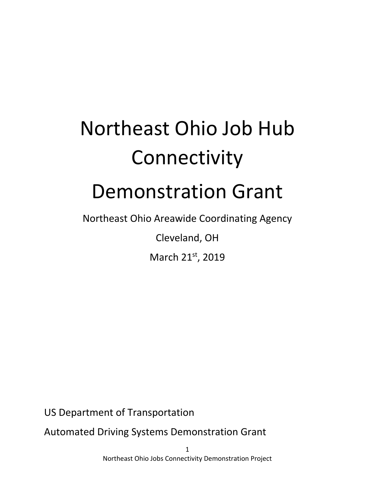# Northeast Ohio Job Hub Connectivity

## Demonstration Grant

Northeast Ohio Areawide Coordinating Agency

Cleveland, OH

March 21st, 2019

US Department of Transportation

Automated Driving Systems Demonstration Grant

1 Northeast Ohio Jobs Connectivity Demonstration Project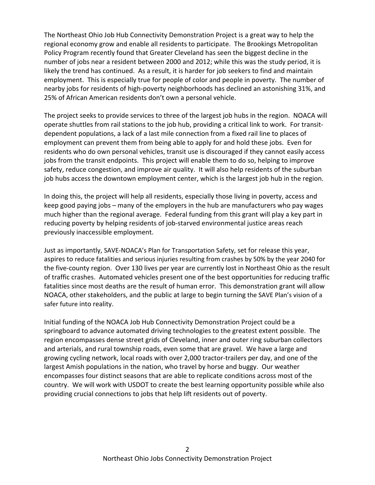The Northeast Ohio Job Hub Connectivity Demonstration Project is a great way to help the regional economy grow and enable all residents to participate. The Brookings Metropolitan Policy Program recently found that Greater Cleveland has seen the biggest decline in the number of jobs near a resident between 2000 and 2012; while this was the study period, it is likely the trend has continued. As a result, it is harder for job seekers to find and maintain employment. This is especially true for people of color and people in poverty. The number of nearby jobs for residents of high‐poverty neighborhoods has declined an astonishing 31%, and 25% of African American residents don't own a personal vehicle.

The project seeks to provide services to three of the largest job hubs in the region. NOACA will operate shuttles from rail stations to the job hub, providing a critical link to work. For transit‐ dependent populations, a lack of a last mile connection from a fixed rail line to places of employment can prevent them from being able to apply for and hold these jobs. Even for residents who do own personal vehicles, transit use is discouraged if they cannot easily access jobs from the transit endpoints. This project will enable them to do so, helping to improve safety, reduce congestion, and improve air quality. It will also help residents of the suburban job hubs access the downtown employment center, which is the largest job hub in the region.

In doing this, the project will help all residents, especially those living in poverty, access and keep good paying jobs – many of the employers in the hub are manufacturers who pay wages much higher than the regional average. Federal funding from this grant will play a key part in reducing poverty by helping residents of job‐starved environmental justice areas reach previously inaccessible employment.

Just as importantly, SAVE‐NOACA's Plan for Transportation Safety, set for release this year, aspires to reduce fatalities and serious injuries resulting from crashes by 50% by the year 2040 for the five‐county region. Over 130 lives per year are currently lost in Northeast Ohio as the result of traffic crashes. Automated vehicles present one of the best opportunities for reducing traffic fatalities since most deaths are the result of human error. This demonstration grant will allow NOACA, other stakeholders, and the public at large to begin turning the SAVE Plan's vision of a safer future into reality.

Initial funding of the NOACA Job Hub Connectivity Demonstration Project could be a springboard to advance automated driving technologies to the greatest extent possible. The region encompasses dense street grids of Cleveland, inner and outer ring suburban collectors and arterials, and rural township roads, even some that are gravel. We have a large and growing cycling network, local roads with over 2,000 tractor‐trailers per day, and one of the largest Amish populations in the nation, who travel by horse and buggy. Our weather encompasses four distinct seasons that are able to replicate conditions across most of the country. We will work with USDOT to create the best learning opportunity possible while also providing crucial connections to jobs that help lift residents out of poverty.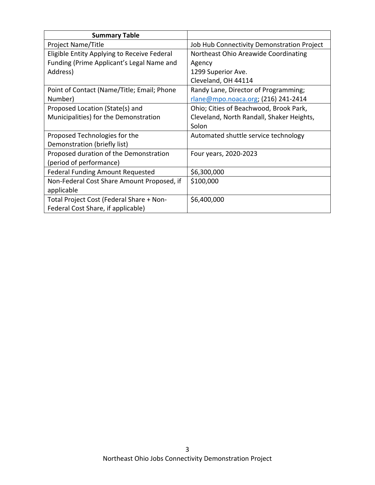| <b>Summary Table</b>                        |                                            |
|---------------------------------------------|--------------------------------------------|
| Project Name/Title                          | Job Hub Connectivity Demonstration Project |
| Eligible Entity Applying to Receive Federal | Northeast Ohio Areawide Coordinating       |
| Funding (Prime Applicant's Legal Name and   | Agency                                     |
| Address)                                    | 1299 Superior Ave.                         |
|                                             | Cleveland, OH 44114                        |
| Point of Contact (Name/Title; Email; Phone  | Randy Lane, Director of Programming;       |
| Number)                                     | rlane@mpo.noaca.org; (216) 241-2414        |
| Proposed Location (State(s) and             | Ohio; Cities of Beachwood, Brook Park,     |
| Municipalities) for the Demonstration       | Cleveland, North Randall, Shaker Heights,  |
|                                             | Solon                                      |
| Proposed Technologies for the               | Automated shuttle service technology       |
| Demonstration (briefly list)                |                                            |
| Proposed duration of the Demonstration      | Four years, 2020-2023                      |
| (period of performance)                     |                                            |
| <b>Federal Funding Amount Requested</b>     | \$6,300,000                                |
| Non-Federal Cost Share Amount Proposed, if  | \$100,000                                  |
| applicable                                  |                                            |
| Total Project Cost (Federal Share + Non-    | \$6,400,000                                |
| Federal Cost Share, if applicable)          |                                            |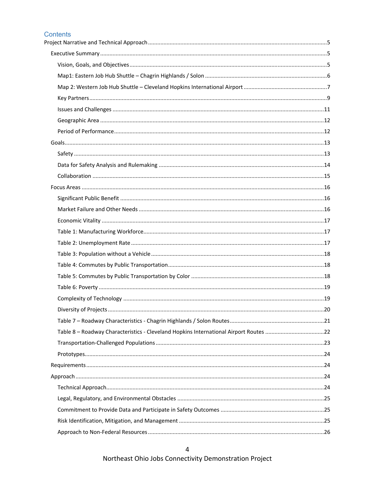#### Contents

| Table 8 - Roadway Characteristics - Cleveland Hopkins International Airport Routes 22 |  |
|---------------------------------------------------------------------------------------|--|
|                                                                                       |  |
|                                                                                       |  |
|                                                                                       |  |
|                                                                                       |  |
|                                                                                       |  |
|                                                                                       |  |
|                                                                                       |  |
|                                                                                       |  |
|                                                                                       |  |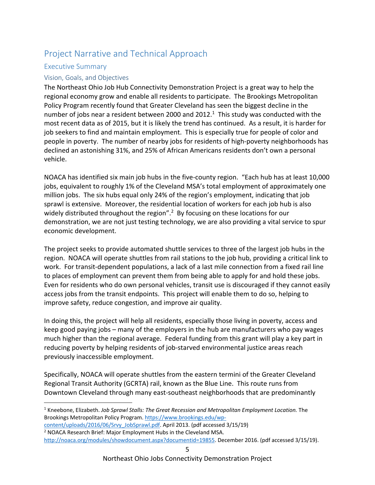### Project Narrative and Technical Approach

#### Executive Summary

#### Vision, Goals, and Objectives

The Northeast Ohio Job Hub Connectivity Demonstration Project is a great way to help the regional economy grow and enable all residents to participate. The Brookings Metropolitan Policy Program recently found that Greater Cleveland has seen the biggest decline in the number of jobs near a resident between 2000 and 2012. $1$  This study was conducted with the most recent data as of 2015, but it is likely the trend has continued. As a result, it is harder for job seekers to find and maintain employment. This is especially true for people of color and people in poverty. The number of nearby jobs for residents of high‐poverty neighborhoods has declined an astonishing 31%, and 25% of African Americans residents don't own a personal vehicle.

NOACA has identified six main job hubs in the five‐county region. "Each hub has at least 10,000 jobs, equivalent to roughly 1% of the Cleveland MSA's total employment of approximately one million jobs. The six hubs equal only 24% of the region's employment, indicating that job sprawl is extensive. Moreover, the residential location of workers for each job hub is also widely distributed throughout the region".<sup>2</sup> By focusing on these locations for our demonstration, we are not just testing technology, we are also providing a vital service to spur economic development.

The project seeks to provide automated shuttle services to three of the largest job hubs in the region. NOACA will operate shuttles from rail stations to the job hub, providing a critical link to work. For transit-dependent populations, a lack of a last mile connection from a fixed rail line to places of employment can prevent them from being able to apply for and hold these jobs. Even for residents who do own personal vehicles, transit use is discouraged if they cannot easily access jobs from the transit endpoints. This project will enable them to do so, helping to improve safety, reduce congestion, and improve air quality.

In doing this, the project will help all residents, especially those living in poverty, access and keep good paying jobs – many of the employers in the hub are manufacturers who pay wages much higher than the regional average. Federal funding from this grant will play a key part in reducing poverty by helping residents of job‐starved environmental justice areas reach previously inaccessible employment.

Specifically, NOACA will operate shuttles from the eastern termini of the Greater Cleveland Regional Transit Authority (GCRTA) rail, known as the Blue Line. This route runs from Downtown Cleveland through many east‐southeast neighborhoods that are predominantly

http://noaca.org/modules/showdocument.aspx?documentid=19855. December 2016. (pdf accessed 3/15/19).

<sup>&</sup>lt;sup>1</sup> Kneebone, Elizabeth. *Job Sprawl Stalls: The Great Recession and Metropolitan Employment Location. The* Brookings Metropolitan Policy Program. https://www.brookings.edu/wp‐

content/uploads/2016/06/Srvy\_JobSprawl.pdf. April 2013. (pdf accessed 3/15/19) <sup>2</sup> NOACA Research Brief: Major Employment Hubs in the Cleveland MSA.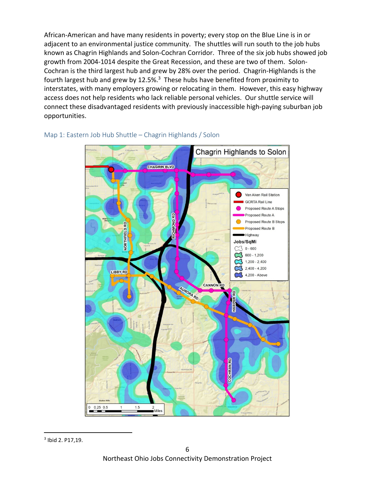African‐American and have many residents in poverty; every stop on the Blue Line is in or adjacent to an environmental justice community. The shuttles will run south to the job hubs known as Chagrin Highlands and Solon‐Cochran Corridor. Three of the six job hubs showed job growth from 2004‐1014 despite the Great Recession, and these are two of them. Solon‐ Cochran is the third largest hub and grew by 28% over the period. Chagrin‐Highlands is the fourth largest hub and grew by 12.5%.<sup>3</sup> These hubs have benefited from proximity to interstates, with many employers growing or relocating in them. However, this easy highway access does not help residents who lack reliable personal vehicles. Our shuttle service will connect these disadvantaged residents with previously inaccessible high‐paying suburban job opportunities.



#### Map 1: Eastern Job Hub Shuttle – Chagrin Highlands / Solon

<sup>&</sup>lt;sup>3</sup> Ibid 2. P17,19.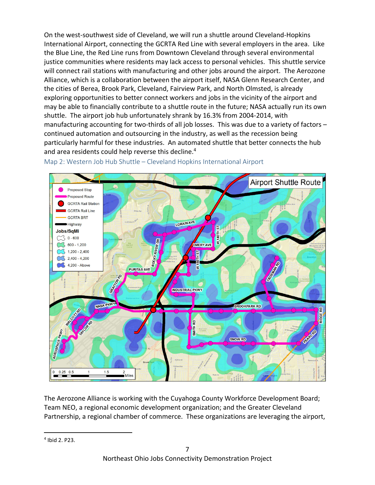On the west‐southwest side of Cleveland, we will run a shuttle around Cleveland‐Hopkins International Airport, connecting the GCRTA Red Line with several employers in the area. Like the Blue Line, the Red Line runs from Downtown Cleveland through several environmental justice communities where residents may lack access to personal vehicles. This shuttle service will connect rail stations with manufacturing and other jobs around the airport. The Aerozone Alliance, which is a collaboration between the airport itself, NASA Glenn Research Center, and the cities of Berea, Brook Park, Cleveland, Fairview Park, and North Olmsted, is already exploring opportunities to better connect workers and jobs in the vicinity of the airport and may be able to financially contribute to a shuttle route in the future; NASA actually run its own shuttle. The airport job hub unfortunately shrank by 16.3% from 2004‐2014, with manufacturing accounting for two-thirds of all job losses. This was due to a variety of factors continued automation and outsourcing in the industry, as well as the recession being particularly harmful for these industries. An automated shuttle that better connects the hub and area residents could help reverse this decline.4



Map 2: Western Job Hub Shuttle – Cleveland Hopkins International Airport

The Aerozone Alliance is working with the Cuyahoga County Workforce Development Board; Team NEO, a regional economic development organization; and the Greater Cleveland Partnership, a regional chamber of commerce. These organizations are leveraging the airport,

 4 Ibid 2. P23.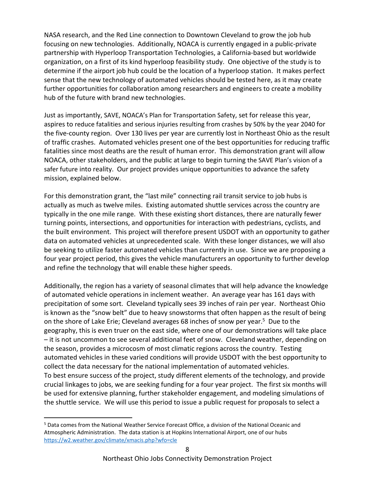NASA research, and the Red Line connection to Downtown Cleveland to grow the job hub focusing on new technologies. Additionally, NOACA is currently engaged in a public‐private partnership with Hyperloop Transportation Technologies, a California‐based but worldwide organization, on a first of its kind hyperloop feasibility study. One objective of the study is to determine if the airport job hub could be the location of a hyperloop station. It makes perfect sense that the new technology of automated vehicles should be tested here, as it may create further opportunities for collaboration among researchers and engineers to create a mobility hub of the future with brand new technologies.

Just as importantly, SAVE, NOACA's Plan for Transportation Safety, set for release this year, aspires to reduce fatalities and serious injuries resulting from crashes by 50% by the year 2040 for the five‐county region. Over 130 lives per year are currently lost in Northeast Ohio as the result of traffic crashes. Automated vehicles present one of the best opportunities for reducing traffic fatalities since most deaths are the result of human error. This demonstration grant will allow NOACA, other stakeholders, and the public at large to begin turning the SAVE Plan's vision of a safer future into reality. Our project provides unique opportunities to advance the safety mission, explained below.

For this demonstration grant, the "last mile" connecting rail transit service to job hubs is actually as much as twelve miles. Existing automated shuttle services across the country are typically in the one mile range. With these existing short distances, there are naturally fewer turning points, intersections, and opportunities for interaction with pedestrians, cyclists, and the built environment. This project will therefore present USDOT with an opportunity to gather data on automated vehicles at unprecedented scale. With these longer distances, we will also be seeking to utilize faster automated vehicles than currently in use. Since we are proposing a four year project period, this gives the vehicle manufacturers an opportunity to further develop and refine the technology that will enable these higher speeds.

Additionally, the region has a variety of seasonal climates that will help advance the knowledge of automated vehicle operations in inclement weather. An average year has 161 days with precipitation of some sort. Cleveland typically sees 39 inches of rain per year. Northeast Ohio is known as the "snow belt" due to heavy snowstorms that often happen as the result of being on the shore of Lake Erie; Cleveland averages 68 inches of snow per year.<sup>5</sup> Due to the geography, this is even truer on the east side, where one of our demonstrations will take place – it is not uncommon to see several additional feet of snow. Cleveland weather, depending on the season, provides a microcosm of most climatic regions across the country. Testing automated vehicles in these varied conditions will provide USDOT with the best opportunity to collect the data necessary for the national implementation of automated vehicles. To best ensure success of the project, study different elements of the technology, and provide crucial linkages to jobs, we are seeking funding for a four year project. The first six months will be used for extensive planning, further stakeholder engagement, and modeling simulations of the shuttle service. We will use this period to issue a public request for proposals to select a

<sup>&</sup>lt;sup>5</sup> Data comes from the National Weather Service Forecast Office, a division of the National Oceanic and Atmospheric Administration. The data station is at Hopkins International Airport, one of our hubs https://w2.weather.gov/climate/xmacis.php?wfo=cle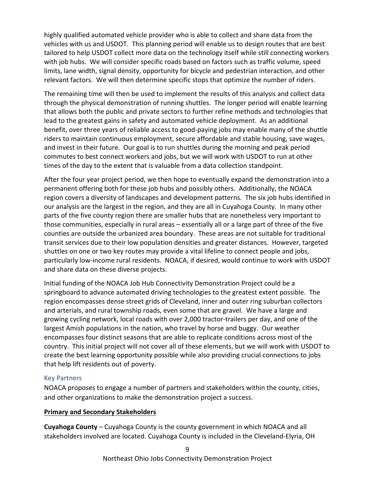highly qualified automated vehicle provider who is able to collect and share data from the vehicles with us and USDOT. This planning period will enable us to design routes that are best tailored to help USDOT collect more data on the technology itself while still connecting workers with job hubs. We will consider specific roads based on factors such as traffic volume, speed limits, lane width, signal density, opportunity for bicycle and pedestrian interaction, and other relevant factors. We will then determine specific stops that optimize the number of riders.

The remaining time will then be used to implement the results of this analysis and collect data through the physical demonstration of running shuttles. The longer period will enable learning that allows both the public and private sectors to further refine methods and technologies that lead to the greatest gains in safety and automated vehicle deployment. As an additional benefit, over three years of reliable access to good‐paying jobs may enable many of the shuttle riders to maintain continuous employment, secure affordable and stable housing, save wages, and invest in their future. Our goal is to run shuttles during the morning and peak period commutes to best connect workers and jobs, but we will work with USDOT to run at other times of the day to the extent that is valuable from a data collection standpoint.

After the four year project period, we then hope to eventually expand the demonstration into a permanent offering both for these job hubs and possibly others. Additionally, the NOACA region covers a diversity of landscapes and development patterns. The six job hubs identified in our analysis are the largest in the region, and they are all in Cuyahoga County. In many other parts of the five county region there are smaller hubs that are nonetheless very important to those communities, especially in rural areas – essentially all or a large part of three of the five counties are outside the urbanized area boundary. These areas are not suitable for traditional transit services due to their low population densities and greater distances. However, targeted shuttles on one or two key routes may provide a vital lifeline to connect people and jobs, particularly low‐income rural residents. NOACA, if desired, would continue to work with USDOT and share data on these diverse projects.

Initial funding of the NOACA Job Hub Connectivity Demonstration Project could be a springboard to advance automated driving technologies to the greatest extent possible. The region encompasses dense street grids of Cleveland, inner and outer ring suburban collectors and arterials, and rural township roads, even some that are gravel. We have a large and growing cycling network, local roads with over 2,000 tractor‐trailers per day, and one of the largest Amish populations in the nation, who travel by horse and buggy. Our weather encompasses four distinct seasons that are able to replicate conditions across most of the country. This initial project will not cover all of these elements, but we will work with USDOT to create the best learning opportunity possible while also providing crucial connections to jobs that help lift residents out of poverty.

#### Key Partners

NOACA proposes to engage a number of partners and stakeholders within the county, cities, and other organizations to make the demonstration project a success.

#### **Primary and Secondary Stakeholders**

**Cuyahoga County** – Cuyahoga County is the county government in which NOACA and all stakeholders involved are located. Cuyahoga County is included in the Cleveland‐Elyria, OH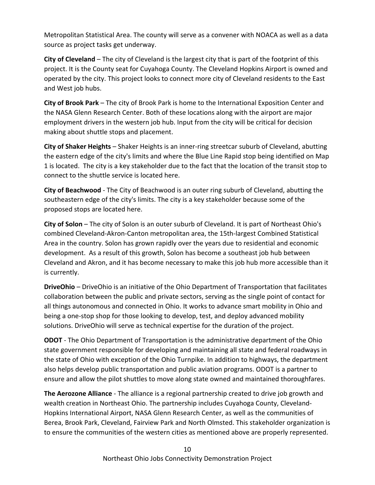Metropolitan Statistical Area. The county will serve as a convener with NOACA as well as a data source as project tasks get underway.

**City of Cleveland** – The city of Cleveland is the largest city that is part of the footprint of this project. It is the County seat for Cuyahoga County. The Cleveland Hopkins Airport is owned and operated by the city. This project looks to connect more city of Cleveland residents to the East and West job hubs.

**City of Brook Park** – The city of Brook Park is home to the International Exposition Center and the NASA Glenn Research Center. Both of these locations along with the airport are major employment drivers in the western job hub. Input from the city will be critical for decision making about shuttle stops and placement.

**City of Shaker Heights** – Shaker Heights is an inner‐ring streetcar suburb of Cleveland, abutting the eastern edge of the city's limits and where the Blue Line Rapid stop being identified on Map 1 is located. The city is a key stakeholder due to the fact that the location of the transit stop to connect to the shuttle service is located here.

**City of Beachwood** ‐ The City of Beachwood is an outer ring suburb of Cleveland, abutting the southeastern edge of the city's limits. The city is a key stakeholder because some of the proposed stops are located here.

**City of Solon** – The city of Solon is an outer suburb of Cleveland. It is part of Northeast Ohio's combined Cleveland‐Akron‐Canton metropolitan area, the 15th‐largest Combined Statistical Area in the country. Solon has grown rapidly over the years due to residential and economic development. As a result of this growth, Solon has become a southeast job hub between Cleveland and Akron, and it has become necessary to make this job hub more accessible than it is currently.

**DriveOhio** – DriveOhio is an initiative of the Ohio Department of Transportation that facilitates collaboration between the public and private sectors, serving as the single point of contact for all things autonomous and connected in Ohio. It works to advance smart mobility in Ohio and being a one‐stop shop for those looking to develop, test, and deploy advanced mobility solutions. DriveOhio will serve as technical expertise for the duration of the project.

**ODOT** ‐ The Ohio Department of Transportation is the administrative department of the Ohio state government responsible for developing and maintaining all state and federal roadways in the state of Ohio with exception of the Ohio Turnpike. In addition to highways, the department also helps develop public transportation and public aviation programs. ODOT is a partner to ensure and allow the pilot shuttles to move along state owned and maintained thoroughfares.

**The Aerozone Alliance** ‐ The alliance is a regional partnership created to drive job growth and wealth creation in Northeast Ohio. The partnership includes Cuyahoga County, Cleveland‐ Hopkins International Airport, NASA Glenn Research Center, as well as the communities of Berea, Brook Park, Cleveland, Fairview Park and North Olmsted. This stakeholder organization is to ensure the communities of the western cities as mentioned above are properly represented.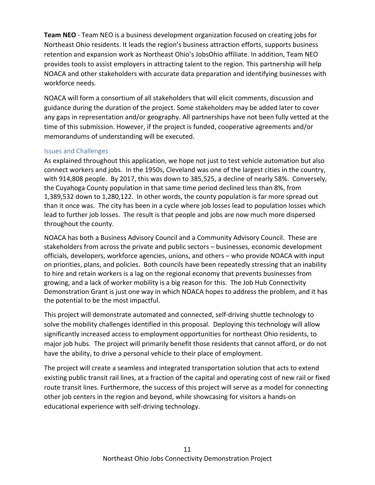**Team NEO** ‐ Team NEO is a business development organization focused on creating jobs for Northeast Ohio residents. It leads the region's business attraction efforts, supports business retention and expansion work as Northeast Ohio's JobsOhio affiliate. In addition, Team NEO provides tools to assist employers in attracting talent to the region. This partnership will help NOACA and other stakeholders with accurate data preparation and identifying businesses with workforce needs.

NOACA will form a consortium of all stakeholders that will elicit comments, discussion and guidance during the duration of the project. Some stakeholders may be added later to cover any gaps in representation and/or geography. All partnerships have not been fully vetted at the time of this submission. However, if the project is funded, cooperative agreements and/or memorandums of understanding will be executed.

#### Issues and Challenges

As explained throughout this application, we hope not just to test vehicle automation but also connect workers and jobs. In the 1950s, Cleveland was one of the largest cities in the country, with 914,808 people. By 2017, this was down to 385,525, a decline of nearly 58%. Conversely, the Cuyahoga County population in that same time period declined less than 8%, from 1,389,532 down to 1,280,122. In other words, the county population is far more spread out than it once was. The city has been in a cycle where job losses lead to population losses which lead to further job losses. The result is that people and jobs are now much more dispersed throughout the county.

NOACA has both a Business Advisory Council and a Community Advisory Council. These are stakeholders from across the private and public sectors – businesses, economic development officials, developers, workforce agencies, unions, and others – who provide NOACA with input on priorities, plans, and policies. Both councils have been repeatedly stressing that an inability to hire and retain workers is a lag on the regional economy that prevents businesses from growing, and a lack of worker mobility is a big reason for this. The Job Hub Connectivity Demonstration Grant is just one way in which NOACA hopes to address the problem, and it has the potential to be the most impactful.

This project will demonstrate automated and connected, self‐driving shuttle technology to solve the mobility challenges identified in this proposal. Deploying this technology will allow significantly increased access to employment opportunities for northeast Ohio residents, to major job hubs. The project will primarily benefit those residents that cannot afford, or do not have the ability, to drive a personal vehicle to their place of employment.

The project will create a seamless and integrated transportation solution that acts to extend existing public transit rail lines, at a fraction of the capital and operating cost of new rail or fixed route transit lines. Furthermore, the success of this project will serve as a model for connecting other job centers in the region and beyond, while showcasing for visitors a hands‐on educational experience with self‐driving technology.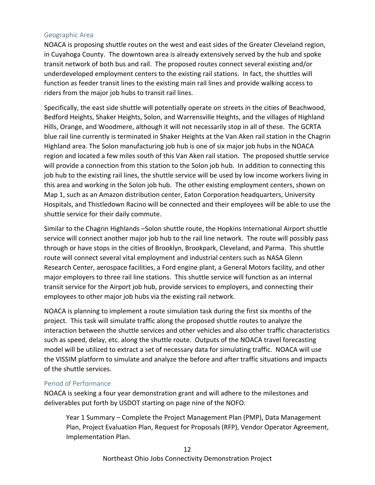#### Geographic Area

NOACA is proposing shuttle routes on the west and east sides of the Greater Cleveland region, in Cuyahoga County. The downtown area is already extensively served by the hub and spoke transit network of both bus and rail. The proposed routes connect several existing and/or underdeveloped employment centers to the existing rail stations. In fact, the shuttles will function as feeder transit lines to the existing main rail lines and provide walking access to riders from the major job hubs to transit rail lines.

Specifically, the east side shuttle will potentially operate on streets in the cities of Beachwood, Bedford Heights, Shaker Heights, Solon, and Warrensville Heights, and the villages of Highland Hills, Orange, and Woodmere, although it will not necessarily stop in all of these. The GCRTA blue rail line currently is terminated in Shaker Heights at the Van Aken rail station in the Chagrin Highland area. The Solon manufacturing job hub is one of six major job hubs in the NOACA region and located a few miles south of this Van Aken rail station. The proposed shuttle service will provide a connection from this station to the Solon job hub. In addition to connecting this job hub to the existing rail lines, the shuttle service will be used by low income workers living in this area and working in the Solon job hub. The other existing employment centers, shown on Map 1, such as an Amazon distribution center, Eaton Corporation headquarters, University Hospitals, and Thistledown Racino will be connected and their employees will be able to use the shuttle service for their daily commute.

Similar to the Chagrin Highlands –Solon shuttle route, the Hopkins International Airport shuttle service will connect another major job hub to the rail line network. The route will possibly pass through or have stops in the cities of Brooklyn, Brookpark, Cleveland, and Parma. This shuttle route will connect several vital employment and industrial centers such as NASA Glenn Research Center, aerospace facilities, a Ford engine plant, a General Motors facility, and other major employers to three rail line stations. This shuttle service will function as an internal transit service for the Airport job hub, provide services to employers, and connecting their employees to other major job hubs via the existing rail network.

NOACA is planning to implement a route simulation task during the first six months of the project. This task will simulate traffic along the proposed shuttle routes to analyze the interaction between the shuttle services and other vehicles and also other traffic characteristics such as speed, delay, etc. along the shuttle route. Outputs of the NOACA travel forecasting model will be utilized to extract a set of necessary data for simulating traffic. NOACA will use the VISSIM platform to simulate and analyze the before and after traffic situations and impacts of the shuttle services.

#### Period of Performance

NOACA is seeking a four year demonstration grant and will adhere to the milestones and deliverables put forth by USDOT starting on page nine of the NOFO.

Year 1 Summary – Complete the Project Management Plan (PMP), Data Management Plan, Project Evaluation Plan, Request for Proposals (RFP), Vendor Operator Agreement, Implementation Plan.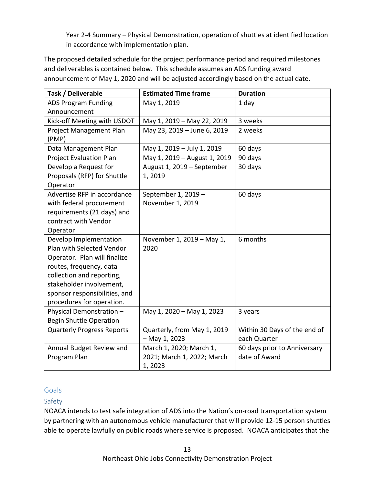Year 2‐4 Summary – Physical Demonstration, operation of shuttles at identified location in accordance with implementation plan.

The proposed detailed schedule for the project performance period and required milestones and deliverables is contained below. This schedule assumes an ADS funding award announcement of May 1, 2020 and will be adjusted accordingly based on the actual date.

| Task / Deliverable                | <b>Estimated Time frame</b>  | <b>Duration</b>              |
|-----------------------------------|------------------------------|------------------------------|
| <b>ADS Program Funding</b>        | May 1, 2019                  | 1 day                        |
| Announcement                      |                              |                              |
| Kick-off Meeting with USDOT       | May 1, 2019 - May 22, 2019   | 3 weeks                      |
| Project Management Plan           | May 23, 2019 - June 6, 2019  | 2 weeks                      |
| (PMP)                             |                              |                              |
| Data Management Plan              | May 1, 2019 - July 1, 2019   | 60 days                      |
| <b>Project Evaluation Plan</b>    | May 1, 2019 - August 1, 2019 | 90 days                      |
| Develop a Request for             | August 1, 2019 - September   | 30 days                      |
| Proposals (RFP) for Shuttle       | 1,2019                       |                              |
| Operator                          |                              |                              |
| Advertise RFP in accordance       | September 1, 2019 -          | 60 days                      |
| with federal procurement          | November 1, 2019             |                              |
| requirements (21 days) and        |                              |                              |
| contract with Vendor              |                              |                              |
| Operator                          |                              |                              |
| Develop Implementation            | November 1, 2019 - May 1,    | 6 months                     |
| Plan with Selected Vendor         | 2020                         |                              |
| Operator. Plan will finalize      |                              |                              |
| routes, frequency, data           |                              |                              |
| collection and reporting,         |                              |                              |
| stakeholder involvement,          |                              |                              |
| sponsor responsibilities, and     |                              |                              |
| procedures for operation.         |                              |                              |
| Physical Demonstration-           | May 1, 2020 - May 1, 2023    | 3 years                      |
| <b>Begin Shuttle Operation</b>    |                              |                              |
| <b>Quarterly Progress Reports</b> | Quarterly, from May 1, 2019  | Within 30 Days of the end of |
|                                   | $-May 1, 2023$               | each Quarter                 |
| Annual Budget Review and          | March 1, 2020; March 1,      | 60 days prior to Anniversary |
| Program Plan                      | 2021; March 1, 2022; March   | date of Award                |
|                                   | 1,2023                       |                              |

#### **Goals**

#### Safety

NOACA intends to test safe integration of ADS into the Nation's on‐road transportation system by partnering with an autonomous vehicle manufacturer that will provide 12‐15 person shuttles able to operate lawfully on public roads where service is proposed. NOACA anticipates that the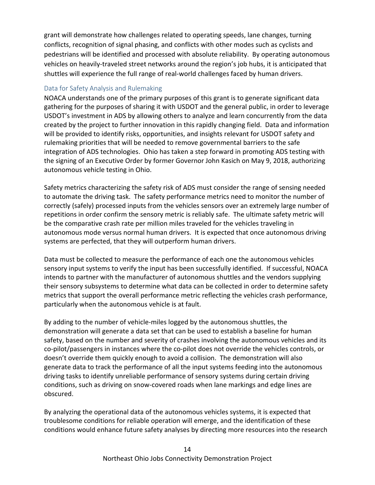grant will demonstrate how challenges related to operating speeds, lane changes, turning conflicts, recognition of signal phasing, and conflicts with other modes such as cyclists and pedestrians will be identified and processed with absolute reliability. By operating autonomous vehicles on heavily‐traveled street networks around the region's job hubs, it is anticipated that shuttles will experience the full range of real‐world challenges faced by human drivers.

#### Data for Safety Analysis and Rulemaking

NOACA understands one of the primary purposes of this grant is to generate significant data gathering for the purposes of sharing it with USDOT and the general public, in order to leverage USDOT's investment in ADS by allowing others to analyze and learn concurrently from the data created by the project to further innovation in this rapidly changing field. Data and information will be provided to identify risks, opportunities, and insights relevant for USDOT safety and rulemaking priorities that will be needed to remove governmental barriers to the safe integration of ADS technologies. Ohio has taken a step forward in promoting ADS testing with the signing of an Executive Order by former Governor John Kasich on May 9, 2018, authorizing autonomous vehicle testing in Ohio.

Safety metrics characterizing the safety risk of ADS must consider the range of sensing needed to automate the driving task. The safety performance metrics need to monitor the number of correctly (safely) processed inputs from the vehicles sensors over an extremely large number of repetitions in order confirm the sensory metric is reliably safe. The ultimate safety metric will be the comparative crash rate per million miles traveled for the vehicles traveling in autonomous mode versus normal human drivers. It is expected that once autonomous driving systems are perfected, that they will outperform human drivers.

Data must be collected to measure the performance of each one the autonomous vehicles sensory input systems to verify the input has been successfully identified. If successful, NOACA intends to partner with the manufacturer of autonomous shuttles and the vendors supplying their sensory subsystems to determine what data can be collected in order to determine safety metrics that support the overall performance metric reflecting the vehicles crash performance, particularly when the autonomous vehicle is at fault.

By adding to the number of vehicle‐miles logged by the autonomous shuttles, the demonstration will generate a data set that can be used to establish a baseline for human safety, based on the number and severity of crashes involving the autonomous vehicles and its co-pilot/passengers in instances where the co-pilot does not override the vehicles controls, or doesn't override them quickly enough to avoid a collision. The demonstration will also generate data to track the performance of all the input systems feeding into the autonomous driving tasks to identify unreliable performance of sensory systems during certain driving conditions, such as driving on snow‐covered roads when lane markings and edge lines are obscured.

By analyzing the operational data of the autonomous vehicles systems, it is expected that troublesome conditions for reliable operation will emerge, and the identification of these conditions would enhance future safety analyses by directing more resources into the research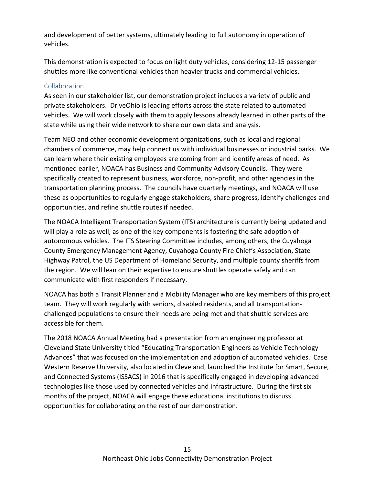and development of better systems, ultimately leading to full autonomy in operation of vehicles.

This demonstration is expected to focus on light duty vehicles, considering 12‐15 passenger shuttles more like conventional vehicles than heavier trucks and commercial vehicles.

#### Collaboration

As seen in our stakeholder list, our demonstration project includes a variety of public and private stakeholders. DriveOhio is leading efforts across the state related to automated vehicles. We will work closely with them to apply lessons already learned in other parts of the state while using their wide network to share our own data and analysis.

Team NEO and other economic development organizations, such as local and regional chambers of commerce, may help connect us with individual businesses or industrial parks. We can learn where their existing employees are coming from and identify areas of need. As mentioned earlier, NOACA has Business and Community Advisory Councils. They were specifically created to represent business, workforce, non-profit, and other agencies in the transportation planning process. The councils have quarterly meetings, and NOACA will use these as opportunities to regularly engage stakeholders, share progress, identify challenges and opportunities, and refine shuttle routes if needed.

The NOACA Intelligent Transportation System (ITS) architecture is currently being updated and will play a role as well, as one of the key components is fostering the safe adoption of autonomous vehicles. The ITS Steering Committee includes, among others, the Cuyahoga County Emergency Management Agency, Cuyahoga County Fire Chief's Association, State Highway Patrol, the US Department of Homeland Security, and multiple county sheriffs from the region. We will lean on their expertise to ensure shuttles operate safely and can communicate with first responders if necessary.

NOACA has both a Transit Planner and a Mobility Manager who are key members of this project team. They will work regularly with seniors, disabled residents, and all transportation‐ challenged populations to ensure their needs are being met and that shuttle services are accessible for them.

The 2018 NOACA Annual Meeting had a presentation from an engineering professor at Cleveland State University titled "Educating Transportation Engineers as Vehicle Technology Advances" that was focused on the implementation and adoption of automated vehicles. Case Western Reserve University, also located in Cleveland, launched the Institute for Smart, Secure, and Connected Systems (ISSACS) in 2016 that is specifically engaged in developing advanced technologies like those used by connected vehicles and infrastructure. During the first six months of the project, NOACA will engage these educational institutions to discuss opportunities for collaborating on the rest of our demonstration.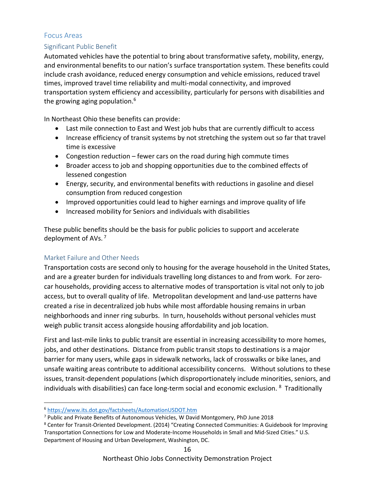#### Focus Areas

#### Significant Public Benefit

Automated vehicles have the potential to bring about transformative safety, mobility, energy, and environmental benefits to our nation's surface transportation system. These benefits could include crash avoidance, reduced energy consumption and vehicle emissions, reduced travel times, improved travel time reliability and multi‐modal connectivity, and improved transportation system efficiency and accessibility, particularly for persons with disabilities and the growing aging population.<sup>6</sup>

In Northeast Ohio these benefits can provide:

- Last mile connection to East and West job hubs that are currently difficult to access
- Increase efficiency of transit systems by not stretching the system out so far that travel time is excessive
- Congestion reduction  $-$  fewer cars on the road during high commute times
- Broader access to job and shopping opportunities due to the combined effects of lessened congestion
- Energy, security, and environmental benefits with reductions in gasoline and diesel consumption from reduced congestion
- Improved opportunities could lead to higher earnings and improve quality of life
- Increased mobility for Seniors and individuals with disabilities

These public benefits should be the basis for public policies to support and accelerate deployment of AVs. 7

#### Market Failure and Other Needs

Transportation costs are second only to housing for the average household in the United States, and are a greater burden for individuals travelling long distances to and from work. For zerocar households, providing access to alternative modes of transportation is vital not only to job access, but to overall quality of life. Metropolitan development and land‐use patterns have created a rise in decentralized job hubs while most affordable housing remains in urban neighborhoods and inner ring suburbs. In turn, households without personal vehicles must weigh public transit access alongside housing affordability and job location.

First and last-mile links to public transit are essential in increasing accessibility to more homes, jobs, and other destinations. Distance from public transit stops to destinations is a major barrier for many users, while gaps in sidewalk networks, lack of crosswalks or bike lanes, and unsafe waiting areas contribute to additional accessibility concerns. Without solutions to these issues, transit‐dependent populations (which disproportionately include minorities, seniors, and individuals with disabilities) can face long-term social and economic exclusion. <sup>8</sup> Traditionally

 <sup>6</sup> https://www.its.dot.gov/factsheets/AutomationUSDOT.htm

<sup>7</sup> Public and Private Benefits of Autonomous Vehicles, W David Montgomery, PhD June 2018

<sup>&</sup>lt;sup>8</sup> Center for Transit-Oriented Development. (2014) "Creating Connected Communities: A Guidebook for Improving Transportation Connections for Low and Moderate-Income Households in Small and Mid-Sized Cities." U.S. Department of Housing and Urban Development, Washington, DC.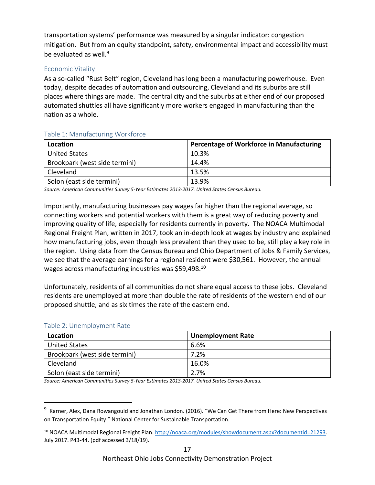transportation systems' performance was measured by a singular indicator: congestion mitigation. But from an equity standpoint, safety, environmental impact and accessibility must be evaluated as well.<sup>9</sup>

#### Economic Vitality

As a so-called "Rust Belt" region, Cleveland has long been a manufacturing powerhouse. Even today, despite decades of automation and outsourcing, Cleveland and its suburbs are still places where things are made. The central city and the suburbs at either end of our proposed automated shuttles all have significantly more workers engaged in manufacturing than the nation as a whole.

| $\frac{1}{2}$ and $\frac{1}{2}$ . Then is a second in $\frac{1}{2}$ in $\frac{1}{2}$ in the second is a second in $\frac{1}{2}$ |                                                 |
|---------------------------------------------------------------------------------------------------------------------------------|-------------------------------------------------|
| Location                                                                                                                        | <b>Percentage of Workforce in Manufacturing</b> |
| <b>United States</b>                                                                                                            | 10.3%                                           |
| Brookpark (west side termini)                                                                                                   | 14.4%                                           |
| Cleveland                                                                                                                       | 13.5%                                           |
| Solon (east side termini)                                                                                                       | 13.9%                                           |

#### Table 1: Manufacturing Workforce

*Source: American Communities Survey 5‐Year Estimates 2013‐2017. United States Census Bureau.* 

Importantly, manufacturing businesses pay wages far higher than the regional average, so connecting workers and potential workers with them is a great way of reducing poverty and improving quality of life, especially for residents currently in poverty. The NOACA Multimodal Regional Freight Plan, written in 2017, took an in‐depth look at wages by industry and explained how manufacturing jobs, even though less prevalent than they used to be, still play a key role in the region. Using data from the Census Bureau and Ohio Department of Jobs & Family Services, we see that the average earnings for a regional resident were \$30,561. However, the annual wages across manufacturing industries was \$59,498.<sup>10</sup>

Unfortunately, residents of all communities do not share equal access to these jobs. Cleveland residents are unemployed at more than double the rate of residents of the western end of our proposed shuttle, and as six times the rate of the eastern end.

| Location                      | <b>Unemployment Rate</b> |
|-------------------------------|--------------------------|
| <b>United States</b>          | 6.6%                     |
| Brookpark (west side termini) | 7.2%                     |
| Cleveland                     | 16.0%                    |
| Solon (east side termini)     | 2.7%                     |

#### Table 2: Unemployment Rate

*Source: American Communities Survey 5‐Year Estimates 2013‐2017. United States Census Bureau.* 

<sup>&</sup>lt;sup>9</sup> Karner, Alex, Dana Rowangould and Jonathan London. (2016). "We Can Get There from Here: New Perspectives on Transportation Equity." National Center for Sustainable Transportation.

<sup>10</sup> NOACA Multimodal Regional Freight Plan. http://noaca.org/modules/showdocument.aspx?documentid=21293. July 2017. P43‐44. (pdf accessed 3/18/19).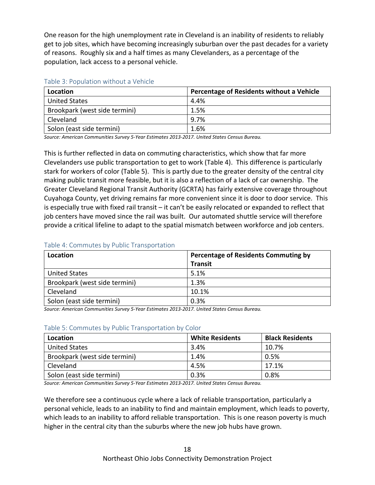One reason for the high unemployment rate in Cleveland is an inability of residents to reliably get to job sites, which have becoming increasingly suburban over the past decades for a variety of reasons. Roughly six and a half times as many Clevelanders, as a percentage of the population, lack access to a personal vehicle.

|  | Table 3: Population without a Vehicle |  |  |
|--|---------------------------------------|--|--|
|  |                                       |  |  |

| Location                      | Percentage of Residents without a Vehicle |
|-------------------------------|-------------------------------------------|
| <b>United States</b>          | 4.4%                                      |
| Brookpark (west side termini) | 1.5%                                      |
| Cleveland                     | 9.7%                                      |
| Solon (east side termini)     | 1.6%                                      |

*Source: American Communities Survey 5‐Year Estimates 2013‐2017. United States Census Bureau.* 

This is further reflected in data on commuting characteristics, which show that far more Clevelanders use public transportation to get to work (Table 4). This difference is particularly stark for workers of color (Table 5). This is partly due to the greater density of the central city making public transit more feasible, but it is also a reflection of a lack of car ownership. The Greater Cleveland Regional Transit Authority (GCRTA) has fairly extensive coverage throughout Cuyahoga County, yet driving remains far more convenient since it is door to door service. This is especially true with fixed rail transit – it can't be easily relocated or expanded to reflect that job centers have moved since the rail was built. Our automated shuttle service will therefore provide a critical lifeline to adapt to the spatial mismatch between workforce and job centers.

#### Table 4: Commutes by Public Transportation

| Location                      | <b>Percentage of Residents Commuting by</b> |
|-------------------------------|---------------------------------------------|
|                               | <b>Transit</b>                              |
| <b>United States</b>          | 5.1%                                        |
| Brookpark (west side termini) | 1.3%                                        |
| Cleveland                     | 10.1%                                       |
| Solon (east side termini)     | 0.3%                                        |

*Source: American Communities Survey 5‐Year Estimates 2013‐2017. United States Census Bureau.* 

#### Table 5: Commutes by Public Transportation by Color

| Location                      | <b>White Residents</b> | <b>Black Residents</b> |
|-------------------------------|------------------------|------------------------|
| <b>United States</b>          | 3.4%                   | 10.7%                  |
| Brookpark (west side termini) | 1.4%                   | 0.5%                   |
| Cleveland                     | 4.5%                   | 17.1%                  |
| Solon (east side termini)     | 0.3%                   | 0.8%                   |

*Source: American Communities Survey 5‐Year Estimates 2013‐2017. United States Census Bureau.* 

We therefore see a continuous cycle where a lack of reliable transportation, particularly a personal vehicle, leads to an inability to find and maintain employment, which leads to poverty, which leads to an inability to afford reliable transportation. This is one reason poverty is much higher in the central city than the suburbs where the new job hubs have grown.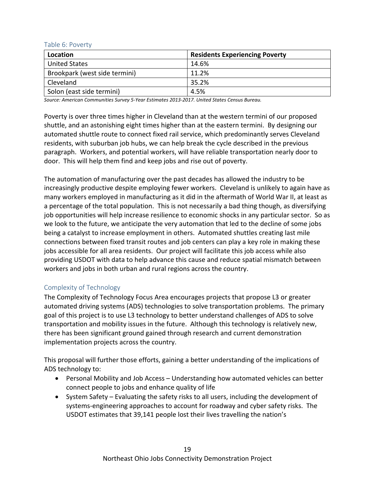| Location                      | <b>Residents Experiencing Poverty</b> |
|-------------------------------|---------------------------------------|
| <b>United States</b>          | 14.6%                                 |
| Brookpark (west side termini) | 11.2%                                 |
| Cleveland                     | 35.2%                                 |
| Solon (east side termini)     | 4.5%                                  |

#### Table 6: Poverty

*Source: American Communities Survey 5‐Year Estimates 2013‐2017. United States Census Bureau.* 

Poverty is over three times higher in Cleveland than at the western termini of our proposed shuttle, and an astonishing eight times higher than at the eastern termini. By designing our automated shuttle route to connect fixed rail service, which predominantly serves Cleveland residents, with suburban job hubs, we can help break the cycle described in the previous paragraph. Workers, and potential workers, will have reliable transportation nearly door to door. This will help them find and keep jobs and rise out of poverty.

The automation of manufacturing over the past decades has allowed the industry to be increasingly productive despite employing fewer workers. Cleveland is unlikely to again have as many workers employed in manufacturing as it did in the aftermath of World War II, at least as a percentage of the total population. This is not necessarily a bad thing though, as diversifying job opportunities will help increase resilience to economic shocks in any particular sector. So as we look to the future, we anticipate the very automation that led to the decline of some jobs being a catalyst to increase employment in others. Automated shuttles creating last mile connections between fixed transit routes and job centers can play a key role in making these jobs accessible for all area residents. Our project will facilitate this job access while also providing USDOT with data to help advance this cause and reduce spatial mismatch between workers and jobs in both urban and rural regions across the country.

#### Complexity of Technology

The Complexity of Technology Focus Area encourages projects that propose L3 or greater automated driving systems (ADS) technologies to solve transportation problems. The primary goal of this project is to use L3 technology to better understand challenges of ADS to solve transportation and mobility issues in the future. Although this technology is relatively new, there has been significant ground gained through research and current demonstration implementation projects across the country.

This proposal will further those efforts, gaining a better understanding of the implications of ADS technology to:

- Personal Mobility and Job Access Understanding how automated vehicles can better connect people to jobs and enhance quality of life
- System Safety Evaluating the safety risks to all users, including the development of systems‐engineering approaches to account for roadway and cyber safety risks. The USDOT estimates that 39,141 people lost their lives travelling the nation's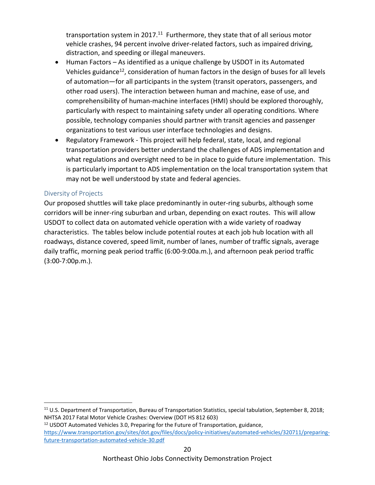transportation system in 2017.<sup>11</sup> Furthermore, they state that of all serious motor vehicle crashes, 94 percent involve driver‐related factors, such as impaired driving, distraction, and speeding or illegal maneuvers.

- Human Factors As identified as a unique challenge by USDOT in its Automated Vehicles guidance<sup>12</sup>, consideration of human factors in the design of buses for all levels of automation—for all participants in the system (transit operators, passengers, and other road users). The interaction between human and machine, ease of use, and comprehensibility of human‐machine interfaces (HMI) should be explored thoroughly, particularly with respect to maintaining safety under all operating conditions. Where possible, technology companies should partner with transit agencies and passenger organizations to test various user interface technologies and designs.
- Regulatory Framework This project will help federal, state, local, and regional transportation providers better understand the challenges of ADS implementation and what regulations and oversight need to be in place to guide future implementation. This is particularly important to ADS implementation on the local transportation system that may not be well understood by state and federal agencies.

#### Diversity of Projects

Our proposed shuttles will take place predominantly in outer‐ring suburbs, although some corridors will be inner‐ring suburban and urban, depending on exact routes. This will allow USDOT to collect data on automated vehicle operation with a wide variety of roadway characteristics. The tables below include potential routes at each job hub location with all roadways, distance covered, speed limit, number of lanes, number of traffic signals, average daily traffic, morning peak period traffic (6:00‐9:00a.m.), and afternoon peak period traffic (3:00‐7:00p.m.).

<sup>&</sup>lt;sup>11</sup> U.S. Department of Transportation, Bureau of Transportation Statistics, special tabulation, September 8, 2018; NHTSA 2017 Fatal Motor Vehicle Crashes: Overview (DOT HS 812 603)

<sup>&</sup>lt;sup>12</sup> USDOT Automated Vehicles 3.0, Preparing for the Future of Transportation, guidance, https://www.transportation.gov/sites/dot.gov/files/docs/policy-initiatives/automated-vehicles/320711/preparingfuture‐transportation‐automated‐vehicle‐30.pdf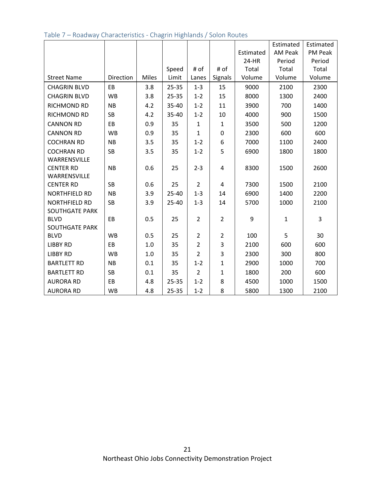|                       |           |       |           |                |                |           | Estimated      | Estimated |
|-----------------------|-----------|-------|-----------|----------------|----------------|-----------|----------------|-----------|
|                       |           |       |           |                |                | Estimated | <b>AM Peak</b> | PM Peak   |
|                       |           |       |           |                |                | 24-HR     | Period         | Period    |
|                       |           |       | Speed     | # of           | # of           | Total     | Total          | Total     |
| <b>Street Name</b>    | Direction | Miles | Limit     | Lanes          | Signals        | Volume    | Volume         | Volume    |
| <b>CHAGRIN BLVD</b>   | EB        | 3.8   | $25 - 35$ | $1 - 3$        | 15             | 9000      | 2100           | 2300      |
| <b>CHAGRIN BLVD</b>   | <b>WB</b> | 3.8   | $25 - 35$ | $1 - 2$        | 15             | 8000      | 1300           | 2400      |
| RICHMOND RD           | <b>NB</b> | 4.2   | 35-40     | $1 - 2$        | 11             | 3900      | 700            | 1400      |
| RICHMOND RD           | <b>SB</b> | 4.2   | 35-40     | $1 - 2$        | 10             | 4000      | 900            | 1500      |
| <b>CANNON RD</b>      | EB        | 0.9   | 35        | $\mathbf{1}$   | $\mathbf{1}$   | 3500      | 500            | 1200      |
| <b>CANNON RD</b>      | <b>WB</b> | 0.9   | 35        | $\mathbf{1}$   | 0              | 2300      | 600            | 600       |
| <b>COCHRAN RD</b>     | <b>NB</b> | 3.5   | 35        | $1 - 2$        | 6              | 7000      | 1100           | 2400      |
| <b>COCHRAN RD</b>     | <b>SB</b> | 3.5   | 35        | $1 - 2$        | 5              | 6900      | 1800           | 1800      |
| WARRENSVILLE          |           |       |           |                |                |           |                |           |
| <b>CENTER RD</b>      | <b>NB</b> | 0.6   | 25        | $2 - 3$        | 4              | 8300      | 1500           | 2600      |
| WARRENSVILLE          |           |       |           |                |                |           |                |           |
| <b>CENTER RD</b>      | <b>SB</b> | 0.6   | 25        | $\overline{2}$ | 4              | 7300      | 1500           | 2100      |
| NORTHFIELD RD         | <b>NB</b> | 3.9   | $25 - 40$ | $1 - 3$        | 14             | 6900      | 1400           | 2200      |
| NORTHFIELD RD         | <b>SB</b> | 3.9   | $25 - 40$ | $1 - 3$        | 14             | 5700      | 1000           | 2100      |
| <b>SOUTHGATE PARK</b> |           |       |           |                |                |           |                |           |
| <b>BLVD</b>           | EB        | 0.5   | 25        | $\overline{2}$ | $\overline{2}$ | 9         | $\mathbf{1}$   | 3         |
| <b>SOUTHGATE PARK</b> |           |       |           |                |                |           |                |           |
| <b>BLVD</b>           | <b>WB</b> | 0.5   | 25        | $\overline{2}$ | $\overline{2}$ | 100       | 5              | 30        |
| <b>LIBBY RD</b>       | EB        | 1.0   | 35        | $\overline{2}$ | 3              | 2100      | 600            | 600       |
| <b>LIBBY RD</b>       | <b>WB</b> | 1.0   | 35        | $\overline{2}$ | 3              | 2300      | 300            | 800       |
| <b>BARTLETT RD</b>    | <b>NB</b> | 0.1   | 35        | $1 - 2$        | $\mathbf{1}$   | 2900      | 1000           | 700       |
| <b>BARTLETT RD</b>    | <b>SB</b> | 0.1   | 35        | $\overline{2}$ | $\mathbf{1}$   | 1800      | 200            | 600       |
| <b>AURORA RD</b>      | EB        | 4.8   | 25-35     | $1 - 2$        | 8              | 4500      | 1000           | 1500      |
| <b>AURORA RD</b>      | <b>WB</b> | 4.8   | 25-35     | $1 - 2$        | 8              | 5800      | 1300           | 2100      |

#### Table 7 – Roadway Characteristics ‐ Chagrin Highlands / Solon Routes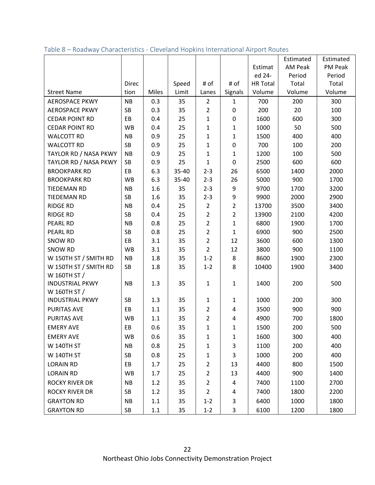|                                       |           |       |       |                |                |                 | Estimated | Estimated |
|---------------------------------------|-----------|-------|-------|----------------|----------------|-----------------|-----------|-----------|
|                                       |           |       |       |                |                | Estimat         | AM Peak   | PM Peak   |
|                                       |           |       |       |                |                | ed 24-          | Period    | Period    |
|                                       | Direc     |       | Speed | # of           | # of           | <b>HR Total</b> | Total     | Total     |
| <b>Street Name</b>                    | tion      | Miles | Limit | Lanes          | Signals        | Volume          | Volume    | Volume    |
| <b>AEROSPACE PKWY</b>                 | <b>NB</b> | 0.3   | 35    | $\overline{2}$ | $\mathbf{1}$   | 700             | 200       | 300       |
| <b>AEROSPACE PKWY</b>                 | SB        | 0.3   | 35    | $\overline{2}$ | 0              | 200             | 20        | 100       |
| <b>CEDAR POINT RD</b>                 | EB        | 0.4   | 25    | $\mathbf{1}$   | 0              | 1600            | 600       | 300       |
| <b>CEDAR POINT RD</b>                 | <b>WB</b> | 0.4   | 25    | $\mathbf{1}$   | $\mathbf{1}$   | 1000            | 50        | 500       |
| <b>WALCOTT RD</b>                     | <b>NB</b> | 0.9   | 25    | 1              | $\mathbf{1}$   | 1500            | 400       | 400       |
| <b>WALCOTT RD</b>                     | SB        | 0.9   | 25    | $\mathbf{1}$   | $\pmb{0}$      | 700             | 100       | 200       |
| TAYLOR RD / NASA PKWY                 | <b>NB</b> | 0.9   | 25    | $\mathbf{1}$   | $\mathbf{1}$   | 1200            | 100       | 500       |
| TAYLOR RD / NASA PKWY                 | SB        | 0.9   | 25    | $\mathbf{1}$   | 0              | 2500            | 600       | 600       |
| <b>BROOKPARK RD</b>                   | EB        | 6.3   | 35-40 | $2 - 3$        | 26             | 6500            | 1400      | 2000      |
| <b>BROOKPARK RD</b>                   | <b>WB</b> | 6.3   | 35-40 | $2 - 3$        | 26             | 5000            | 900       | 1700      |
| <b>TIEDEMAN RD</b>                    | <b>NB</b> | 1.6   | 35    | $2 - 3$        | 9              | 9700            | 1700      | 3200      |
| <b>TIEDEMAN RD</b>                    | <b>SB</b> | 1.6   | 35    | $2 - 3$        | 9              | 9900            | 2000      | 2900      |
| <b>RIDGE RD</b>                       | <b>NB</b> | 0.4   | 25    | $\overline{2}$ | $\overline{2}$ | 13700           | 3500      | 3400      |
| <b>RIDGE RD</b>                       | <b>SB</b> | 0.4   | 25    | $\overline{2}$ | $\overline{2}$ | 13900           | 2100      | 4200      |
| <b>PEARL RD</b>                       | <b>NB</b> | 0.8   | 25    | $\overline{2}$ | $\mathbf{1}$   | 6800            | 1900      | 1700      |
| <b>PEARL RD</b>                       | <b>SB</b> | 0.8   | 25    | $\overline{2}$ | $\mathbf{1}$   | 6900            | 900       | 2500      |
| <b>SNOW RD</b>                        | EB        | 3.1   | 35    | $\overline{2}$ | 12             | 3600            | 600       | 1300      |
| <b>SNOW RD</b>                        | <b>WB</b> | 3.1   | 35    | $\overline{2}$ | 12             | 3800            | 900       | 1100      |
| W 150TH ST / SMITH RD                 | <b>NB</b> | 1.8   | 35    | $1 - 2$        | 8              | 8600            | 1900      | 2300      |
| W 150TH ST / SMITH RD<br>W 160TH ST / | SB        | 1.8   | 35    | $1 - 2$        | 8              | 10400           | 1900      | 3400      |
| <b>INDUSTRIAL PKWY</b>                | <b>NB</b> | 1.3   | 35    | $\mathbf{1}$   | $\mathbf{1}$   | 1400            | 200       | 500       |
| W 160TH ST /                          |           |       |       |                |                |                 |           |           |
| <b>INDUSTRIAL PKWY</b>                | <b>SB</b> | 1.3   | 35    | $\mathbf{1}$   | $\mathbf{1}$   | 1000            | 200       | 300       |
| <b>PURITAS AVE</b>                    | EB        | 1.1   | 35    | $\overline{2}$ | 4              | 3500            | 900       | 900       |
| <b>PURITAS AVE</b>                    | <b>WB</b> | 1.1   | 35    | $\overline{2}$ | 4              | 4900            | 700       | 1800      |
| <b>EMERY AVE</b>                      | EB        | 0.6   | 35    | $\mathbf{1}$   | 1              | 1500            | 200       | 500       |
| <b>EMERY AVE</b>                      | <b>WB</b> | 0.6   | 35    | 1              | 1              | 1600            | 300       | 400       |
| <b>W 140TH ST</b>                     | <b>NB</b> | 0.8   | 25    | 1              | 3              | 1100            | 200       | 400       |
| <b>W 140TH ST</b>                     | SB        | 0.8   | 25    | $\mathbf{1}$   | 3              | 1000            | 200       | 400       |
| <b>LORAIN RD</b>                      | EB        | 1.7   | 25    | $\overline{2}$ | 13             | 4400            | 800       | 1500      |
| <b>LORAIN RD</b>                      | <b>WB</b> | 1.7   | 25    | $\overline{2}$ | 13             | 4400            | 900       | 1400      |
| <b>ROCKY RIVER DR</b>                 | <b>NB</b> | 1.2   | 35    | $\overline{2}$ | 4              | 7400            | 1100      | 2700      |
| <b>ROCKY RIVER DR</b>                 | SB        | 1.2   | 35    | $\overline{2}$ | 4              | 7400            | 1800      | 2200      |
| <b>GRAYTON RD</b>                     | <b>NB</b> | 1.1   | 35    | $1 - 2$        | 3              | 6400            | 1000      | 1800      |
| <b>GRAYTON RD</b>                     | SB        | 1.1   | 35    | $1 - 2$        | 3              | 6100            | 1200      | 1800      |

Table 8 – Roadway Characteristics ‐ Cleveland Hopkins International Airport Routes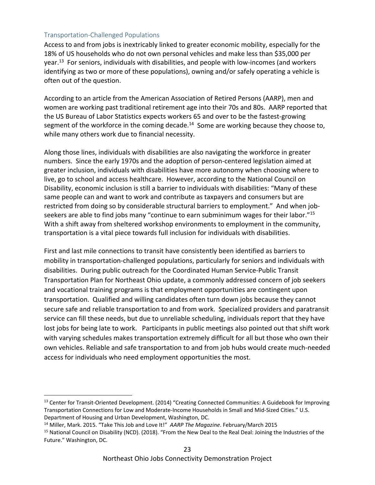#### Transportation‐Challenged Populations

Access to and from jobs is inextricably linked to greater economic mobility, especially for the 18% of US households who do not own personal vehicles and make less than \$35,000 per year.<sup>13</sup> For seniors, individuals with disabilities, and people with low-incomes (and workers identifying as two or more of these populations), owning and/or safely operating a vehicle is often out of the question.

According to an article from the American Association of Retired Persons (AARP), men and women are working past traditional retirement age into their 70s and 80s. AARP reported that the US Bureau of Labor Statistics expects workers 65 and over to be the fastest‐growing segment of the workforce in the coming decade.<sup>14</sup> Some are working because they choose to, while many others work due to financial necessity.

Along those lines, individuals with disabilities are also navigating the workforce in greater numbers. Since the early 1970s and the adoption of person‐centered legislation aimed at greater inclusion, individuals with disabilities have more autonomy when choosing where to live, go to school and access healthcare. However, according to the National Council on Disability, economic inclusion is still a barrier to individuals with disabilities: "Many of these same people can and want to work and contribute as taxpayers and consumers but are restricted from doing so by considerable structural barriers to employment." And when jobseekers are able to find jobs many "continue to earn subminimum wages for their labor."<sup>15</sup> With a shift away from sheltered workshop environments to employment in the community, transportation is a vital piece towards full inclusion for individuals with disabilities.

First and last mile connections to transit have consistently been identified as barriers to mobility in transportation‐challenged populations, particularly for seniors and individuals with disabilities. During public outreach for the Coordinated Human Service‐Public Transit Transportation Plan for Northeast Ohio update, a commonly addressed concern of job seekers and vocational training programs is that employment opportunities are contingent upon transportation. Qualified and willing candidates often turn down jobs because they cannot secure safe and reliable transportation to and from work. Specialized providers and paratransit service can fill these needs, but due to unreliable scheduling, individuals report that they have lost jobs for being late to work. Participants in public meetings also pointed out that shift work with varying schedules makes transportation extremely difficult for all but those who own their own vehicles. Reliable and safe transportation to and from job hubs would create much‐needed access for individuals who need employment opportunities the most.

<sup>13</sup> Center for Transit-Oriented Development. (2014) "Creating Connected Communities: A Guidebook for Improving Transportation Connections for Low and Moderate‐Income Households in Small and Mid‐Sized Cities." U.S. Department of Housing and Urban Development, Washington, DC.

<sup>14</sup> Miller, Mark. 2015. "Take This Job and Love It!" *AARP The Magazine*. February/March 2015

<sup>&</sup>lt;sup>15</sup> National Council on Disability (NCD). (2018). "From the New Deal to the Real Deal: Joining the Industries of the Future." Washington, DC.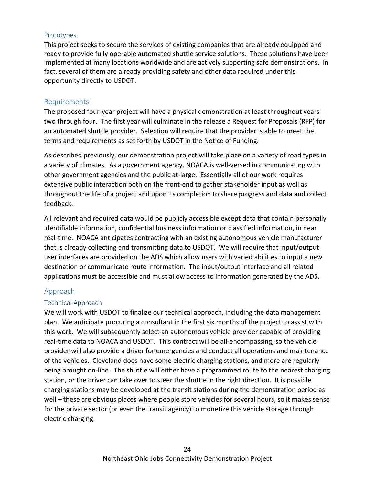#### Prototypes

This project seeks to secure the services of existing companies that are already equipped and ready to provide fully operable automated shuttle service solutions. These solutions have been implemented at many locations worldwide and are actively supporting safe demonstrations. In fact, several of them are already providing safety and other data required under this opportunity directly to USDOT.

#### Requirements

The proposed four‐year project will have a physical demonstration at least throughout years two through four. The first year will culminate in the release a Request for Proposals (RFP) for an automated shuttle provider. Selection will require that the provider is able to meet the terms and requirements as set forth by USDOT in the Notice of Funding.

As described previously, our demonstration project will take place on a variety of road types in a variety of climates. As a government agency, NOACA is well-versed in communicating with other government agencies and the public at‐large. Essentially all of our work requires extensive public interaction both on the front‐end to gather stakeholder input as well as throughout the life of a project and upon its completion to share progress and data and collect feedback.

All relevant and required data would be publicly accessible except data that contain personally identifiable information, confidential business information or classified information, in near real-time. NOACA anticipates contracting with an existing autonomous vehicle manufacturer that is already collecting and transmitting data to USDOT. We will require that input/output user interfaces are provided on the ADS which allow users with varied abilities to input a new destination or communicate route information. The input/output interface and all related applications must be accessible and must allow access to information generated by the ADS.

#### Approach

#### Technical Approach

We will work with USDOT to finalize our technical approach, including the data management plan. We anticipate procuring a consultant in the first six months of the project to assist with this work. We will subsequently select an autonomous vehicle provider capable of providing real-time data to NOACA and USDOT. This contract will be all-encompassing, so the vehicle provider will also provide a driver for emergencies and conduct all operations and maintenance of the vehicles. Cleveland does have some electric charging stations, and more are regularly being brought on-line. The shuttle will either have a programmed route to the nearest charging station, or the driver can take over to steer the shuttle in the right direction. It is possible charging stations may be developed at the transit stations during the demonstration period as well – these are obvious places where people store vehicles for several hours, so it makes sense for the private sector (or even the transit agency) to monetize this vehicle storage through electric charging.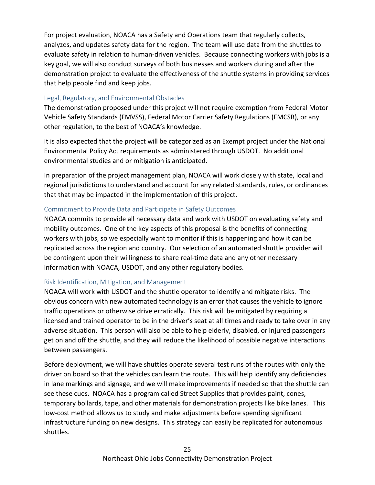For project evaluation, NOACA has a Safety and Operations team that regularly collects, analyzes, and updates safety data for the region. The team will use data from the shuttles to evaluate safety in relation to human-driven vehicles. Because connecting workers with jobs is a key goal, we will also conduct surveys of both businesses and workers during and after the demonstration project to evaluate the effectiveness of the shuttle systems in providing services that help people find and keep jobs.

#### Legal, Regulatory, and Environmental Obstacles

The demonstration proposed under this project will not require exemption from Federal Motor Vehicle Safety Standards (FMVSS), Federal Motor Carrier Safety Regulations (FMCSR), or any other regulation, to the best of NOACA's knowledge.

It is also expected that the project will be categorized as an Exempt project under the National Environmental Policy Act requirements as administered through USDOT. No additional environmental studies and or mitigation is anticipated.

In preparation of the project management plan, NOACA will work closely with state, local and regional jurisdictions to understand and account for any related standards, rules, or ordinances that that may be impacted in the implementation of this project.

#### Commitment to Provide Data and Participate in Safety Outcomes

NOACA commits to provide all necessary data and work with USDOT on evaluating safety and mobility outcomes. One of the key aspects of this proposal is the benefits of connecting workers with jobs, so we especially want to monitor if this is happening and how it can be replicated across the region and country. Our selection of an automated shuttle provider will be contingent upon their willingness to share real-time data and any other necessary information with NOACA, USDOT, and any other regulatory bodies.

#### Risk Identification, Mitigation, and Management

NOACA will work with USDOT and the shuttle operator to identify and mitigate risks. The obvious concern with new automated technology is an error that causes the vehicle to ignore traffic operations or otherwise drive erratically. This risk will be mitigated by requiring a licensed and trained operator to be in the driver's seat at all times and ready to take over in any adverse situation. This person will also be able to help elderly, disabled, or injured passengers get on and off the shuttle, and they will reduce the likelihood of possible negative interactions between passengers.

Before deployment, we will have shuttles operate several test runs of the routes with only the driver on board so that the vehicles can learn the route. This will help identify any deficiencies in lane markings and signage, and we will make improvements if needed so that the shuttle can see these cues. NOACA has a program called Street Supplies that provides paint, cones, temporary bollards, tape, and other materials for demonstration projects like bike lanes. This low‐cost method allows us to study and make adjustments before spending significant infrastructure funding on new designs. This strategy can easily be replicated for autonomous shuttles.